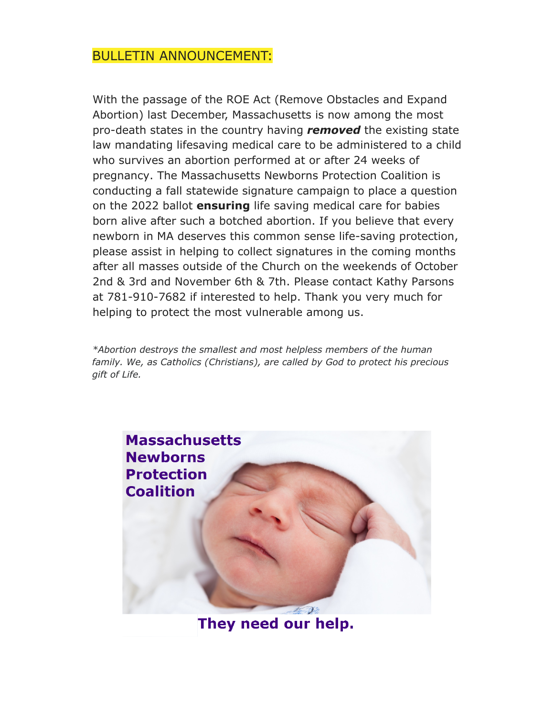## BULLETIN ANNOUNCEMENT:

With the passage of the ROE Act (Remove Obstacles and Expand Abortion) last December, Massachusetts is now among the most pro-death states in the country having *removed* the existing state law mandating lifesaving medical care to be administered to a child who survives an abortion performed at or after 24 weeks of pregnancy. The Massachusetts Newborns Protection Coalition is conducting a fall statewide signature campaign to place a question on the 2022 ballot **ensuring** life saving medical care for babies born alive after such a botched abortion. If you believe that every newborn in MA deserves this common sense life-saving protection, please assist in helping to collect signatures in the coming months after all masses outside of the Church on the weekends of October 2nd & 3rd and November 6th & 7th. Please contact Kathy Parsons at 781-910-7682 if interested to help. Thank you very much for helping to protect the most vulnerable among us.

*\*Abortion destroys the smallest and most helpless members of the human family. We, as Catholics (Christians), are called by God to protect his precious gift of Life.*



They need our help.